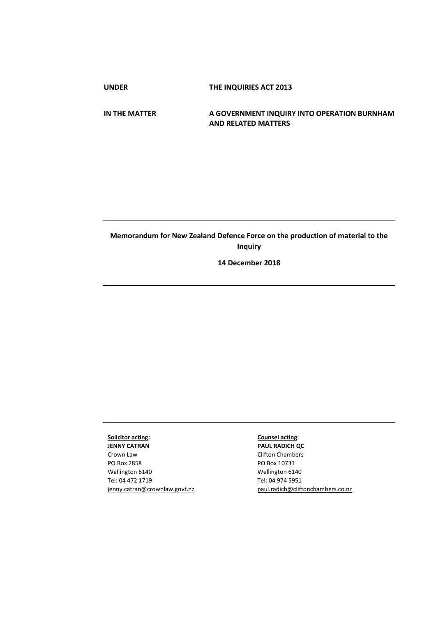**UNDER THE INQUIRIES ACT 2013**

**IN THE MATTER A GOVERNMENT INQUIRY INTO OPERATION BURNHAM AND RELATED MATTERS**

## **Memorandum for New Zealand Defence Force on the production of material to the Inquiry**

**14 December 2018**

## **Solicitor acting:**

**JENNY CATRAN** Crown Law PO Box 2858 Wellington 6140 Tel: 04 472 1719 jenny.catran@crownlaw.govt.nz

## **Counsel acting**:

**PAUL RADICH QC** Clifton Chambers PO Box 10731 Wellington 6140 Tel: 04 974 5951 [paul.radich@cliftonchambers.co.nz](mailto:paul.radich@cliftonchambers.co.nz)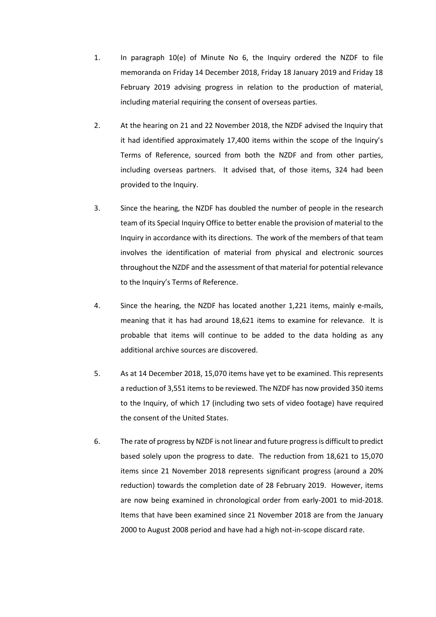- 1. In paragraph 10(e) of Minute No 6, the Inquiry ordered the NZDF to file memoranda on Friday 14 December 2018, Friday 18 January 2019 and Friday 18 February 2019 advising progress in relation to the production of material, including material requiring the consent of overseas parties.
- 2. At the hearing on 21 and 22 November 2018, the NZDF advised the Inquiry that it had identified approximately 17,400 items within the scope of the Inquiry's Terms of Reference, sourced from both the NZDF and from other parties, including overseas partners. It advised that, of those items, 324 had been provided to the Inquiry.
- 3. Since the hearing, the NZDF has doubled the number of people in the research team of its Special Inquiry Office to better enable the provision of material to the Inquiry in accordance with its directions. The work of the members of that team involves the identification of material from physical and electronic sources throughout the NZDF and the assessment of that material for potential relevance to the Inquiry's Terms of Reference.
- 4. Since the hearing, the NZDF has located another 1,221 items, mainly e-mails, meaning that it has had around 18,621 items to examine for relevance. It is probable that items will continue to be added to the data holding as any additional archive sources are discovered.
- 5. As at 14 December 2018, 15,070 items have yet to be examined. This represents a reduction of 3,551 items to be reviewed. The NZDF has now provided 350 items to the Inquiry, of which 17 (including two sets of video footage) have required the consent of the United States.
- 6. The rate of progress by NZDF is not linear and future progress is difficult to predict based solely upon the progress to date. The reduction from 18,621 to 15,070 items since 21 November 2018 represents significant progress (around a 20% reduction) towards the completion date of 28 February 2019. However, items are now being examined in chronological order from early-2001 to mid-2018. Items that have been examined since 21 November 2018 are from the January 2000 to August 2008 period and have had a high not-in-scope discard rate.